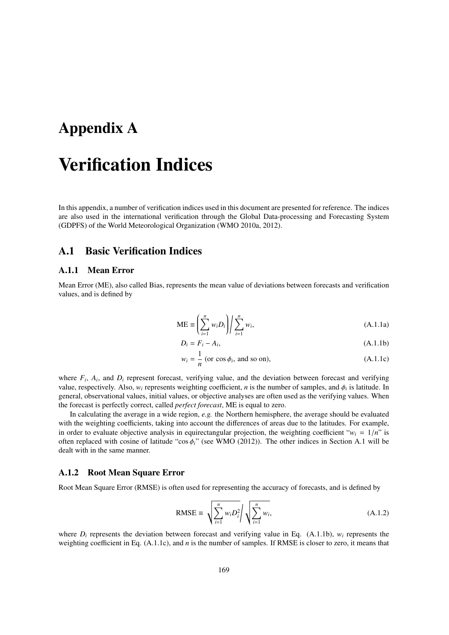# Appendix A

# Verification Indices

In this appendix, a number of verification indices used in this document are presented for reference. The indices are also used in the international verification through the Global Data-processing and Forecasting System (GDPFS) of the World Meteorological Organization (WMO 2010a, 2012).

# A.1 Basic Verification Indices

#### A.1.1 Mean Error

Mean Error (ME), also called Bias, represents the mean value of deviations between forecasts and verification values, and is defined by

$$
\text{ME} \equiv \left(\sum_{i=1}^{n} w_i D_i\right) / \sum_{i=1}^{n} w_i,
$$
\n(A.1.1a)

$$
D_i = F_i - A_i,\tag{A.1.1b}
$$

$$
w_i = \frac{1}{n} \text{ (or } \cos \phi_i \text{, and so on),}
$$
 (A.1.1c)

where  $F_i$ ,  $A_i$ , and  $D_i$  represent forecast, verifying value, and the deviation between forecast and verifying value, respectively. Also,  $w_i$  represents weighting coefficient, *n* is the number of samples, and  $\phi_i$  is latitude. In general, observational values, initial values, or objective analyses are often used as the verifying values. When the forecast is perfectly correct, called *perfect forecast*, ME is equal to zero.

In calculating the average in a wide region, *e.g.* the Northern hemisphere, the average should be evaluated with the weighting coefficients, taking into account the differences of areas due to the latitudes. For example, in order to evaluate objective analysis in equirectangular projection, the weighting coefficient " $w_i = 1/n$ " is often replaced with cosine of latitude "cos φ*i*" (see WMO (2012)). The other indices in Section A.1 will be dealt with in the same manner.

#### A.1.2 Root Mean Square Error

Root Mean Square Error (RMSE) is often used for representing the accuracy of forecasts, and is defined by

RMSE = 
$$
\sqrt{\sum_{i=1}^{n} w_i D_i^2} / \sqrt{\sum_{i=1}^{n} w_i},
$$
 (A.1.2)

where  $D_i$  represents the deviation between forecast and verifying value in Eq. (A.1.1b),  $w_i$  represents the weighting coefficient in Eq. (A.1.1c), and *n* is the number of samples. If RMSE is closer to zero, it means that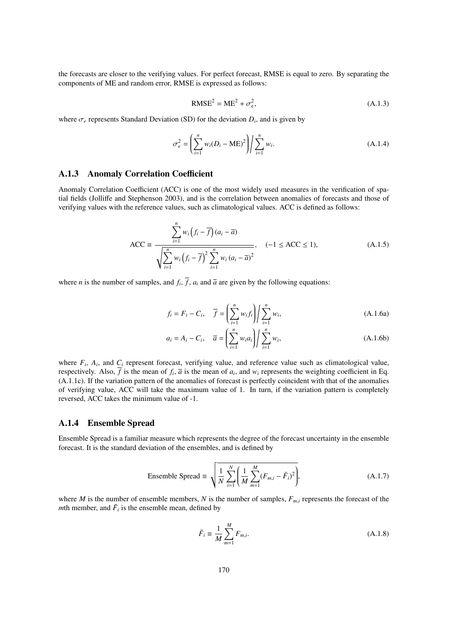the forecasts are closer to the verifying values. For perfect forecast, RMSE is equal to zero. By separating the components of ME and random error, RMSE is expressed as follows:

$$
RMSE2 = ME2 + \sigmae2,
$$
 (A.1.3)

where  $\sigma_e$  represents Standard Deviation (SD) for the deviation  $D_i$ , and is given by

$$
\sigma_e^2 = \left(\sum_{i=1}^n w_i (D_i - \text{ME})^2\right) \bigg| \sum_{i=1}^n w_i.
$$
\n(A.1.4)

# A.1.3 Anomaly Correlation Coefficient

Anomaly Correlation Coefficient (ACC) is one of the most widely used measures in the verification of spatial fields (Jolliffe and Stephenson 2003), and is the correlation between anomalies of forecasts and those of verifying values with the reference values, such as climatological values. ACC is defined as follows:

$$
\text{ACC} \equiv \frac{\sum_{i=1}^{n} w_i (f_i - \overline{f})(a_i - \overline{a})}{\sqrt{\sum_{i=1}^{n} w_i (f_i - \overline{f})^2 \sum_{i=1}^{n} w_i (a_i - \overline{a})^2}}, \quad (-1 \le \text{ACC} \le 1), \tag{A.1.5}
$$

where *n* is the number of samples, and  $f_i$ ,  $f$ ,  $a_i$  and  $\overline{a}$  are given by the following equations:

$$
f_i = F_i - C_i, \quad \overline{f} = \left(\sum_{i=1}^n w_i f_i\right) \middle| \sum_{i=1}^n w_i,
$$
\n(A.1.6a)

$$
a_i = A_i - C_i, \quad \overline{a} = \left(\sum_{i=1}^n w_i a_i\right) \middle| \sum_{i=1}^n w_i,
$$
\n(A.1.6b)

where  $F_i$ ,  $A_i$ , and  $C_i$  represent forecast, verifying value, and reference value such as climatological value, respectively. Also, f is the mean of  $f_i$ ,  $\bar{a}$  is the mean of  $a_i$ , and  $w_i$  represents the weighting coefficient in Eq. (A.1.1c). If the variation pattern of the anomalies of forecast is perfectly coincident with that of the anomalies of verifying value, ACC will take the maximum value of 1. In turn, if the variation pattern is completely reversed, ACC takes the minimum value of -1.

#### A.1.4 Ensemble Spread

Ensemble Spread is a familiar measure which represents the degree of the forecast uncertainty in the ensemble forecast. It is the standard deviation of the ensembles, and is defined by

Ensemble Spread 
$$
\equiv \sqrt{\frac{1}{N} \sum_{i=1}^{N} \left( \frac{1}{M} \sum_{m=1}^{M} (F_{m,i} - \bar{F}_{i})^{2} \right)},
$$
 (A.1.7)

where *M* is the number of ensemble members, *N* is the number of samples,  $F_{m,i}$  represents the forecast of the *m*th member, and  $\bar{F}_i$  is the ensemble mean, defined by

$$
\bar{F}_i \equiv \frac{1}{M} \sum_{m=1}^{M} F_{m,i}.
$$
\n(A.1.8)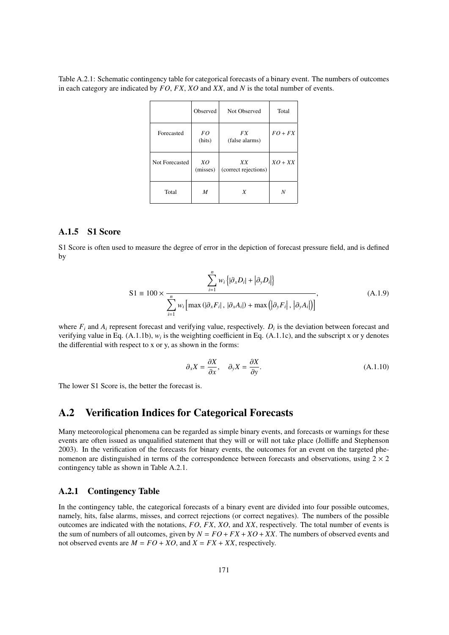Table A.2.1: Schematic contingency table for categorical forecasts of a binary event. The numbers of outcomes in each category are indicated by *FO*, *FX*, *XO* and *XX*, and *N* is the total number of events.

|                | Observed       | Not Observed               | Total     |
|----------------|----------------|----------------------------|-----------|
| Forecasted     | FO<br>(hits)   | FX.<br>(false alarms)      | $FO + FX$ |
| Not Forecasted | XO<br>(misses) | XX<br>(correct rejections) | $XO + XX$ |
| Total          | M              | X                          | N         |

# A.1.5 S1 Score

S1 Score is often used to measure the degree of error in the depiction of forecast pressure field, and is defined by

$$
S1 \equiv 100 \times \frac{\sum_{i=1}^{n} w_i \left\{ |\partial_x D_i| + |\partial_y D_i| \right\}}{\sum_{i=1}^{n} w_i \left[ \max \left( |\partial_x F_i|, |\partial_x A_i| \right) + \max \left( |\partial_y F_i|, |\partial_y A_i| \right) \right]},
$$
(A.1.9)

where  $F_i$  and  $A_i$  represent forecast and verifying value, respectively.  $D_i$  is the deviation between forecast and verifying value in Eq.  $(A.1.1b)$ ,  $w_i$  is the weighting coefficient in Eq.  $(A.1.1c)$ , and the subscript x or y denotes the differential with respect to x or y, as shown in the forms:

$$
\partial_x X = \frac{\partial X}{\partial x}, \quad \partial_y X = \frac{\partial X}{\partial y}.
$$
\n(A.1.10)

The lower S1 Score is, the better the forecast is.

# A.2 Verification Indices for Categorical Forecasts

Many meteorological phenomena can be regarded as simple binary events, and forecasts or warnings for these events are often issued as unqualified statement that they will or will not take place (Jolliffe and Stephenson 2003). In the verification of the forecasts for binary events, the outcomes for an event on the targeted phenomenon are distinguished in terms of the correspondence between forecasts and observations, using  $2 \times 2$ contingency table as shown in Table A.2.1.

# A.2.1 Contingency Table

In the contingency table, the categorical forecasts of a binary event are divided into four possible outcomes, namely, hits, false alarms, misses, and correct rejections (or correct negatives). The numbers of the possible outcomes are indicated with the notations, *FO*, *FX*, *XO*, and *XX*, respectively. The total number of events is the sum of numbers of all outcomes, given by  $N = FO + FX + XO + XX$ . The numbers of observed events and not observed events are  $M = FO + XO$ , and  $X = FX + XX$ , respectively.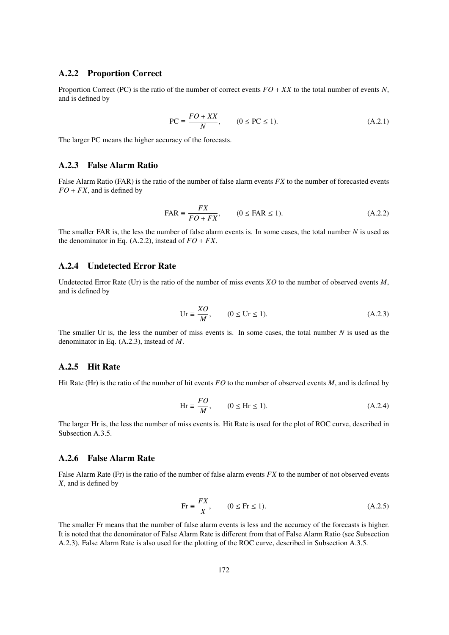# A.2.2 Proportion Correct

Proportion Correct (PC) is the ratio of the number of correct events *FO* + *XX* to the total number of events *N*, and is defined by

$$
PC \equiv \frac{FO + XX}{N}, \qquad (0 \le PC \le 1). \tag{A.2.1}
$$

The larger PC means the higher accuracy of the forecasts.

# A.2.3 False Alarm Ratio

False Alarm Ratio (FAR) is the ratio of the number of false alarm events *FX* to the number of forecasted events  $FO + FX$ , and is defined by

$$
FAR \equiv \frac{FX}{FO + FX}, \qquad (0 \leq FAR \leq 1). \tag{A.2.2}
$$

The smaller FAR is, the less the number of false alarm events is. In some cases, the total number *N* is used as the denominator in Eq.  $(A.2.2)$ , instead of  $FO + FX$ .

#### A.2.4 Undetected Error Rate

Undetected Error Rate (Ur) is the ratio of the number of miss events *XO* to the number of observed events *M*, and is defined by

$$
Ur \equiv \frac{XO}{M}, \qquad (0 \le Ur \le 1). \tag{A.2.3}
$$

The smaller Ur is, the less the number of miss events is. In some cases, the total number *N* is used as the denominator in Eq. (A.2.3), instead of *M*.

# A.2.5 Hit Rate

Hit Rate (Hr) is the ratio of the number of hit events *FO* to the number of observed events *M*, and is defined by

$$
Hr \equiv \frac{FO}{M}, \qquad (0 \le Hr \le 1). \tag{A.2.4}
$$

The larger Hr is, the less the number of miss events is. Hit Rate is used for the plot of ROC curve, described in Subsection A.3.5.

# A.2.6 False Alarm Rate

False Alarm Rate (Fr) is the ratio of the number of false alarm events *FX* to the number of not observed events *X*, and is defined by

$$
\text{Fr} \equiv \frac{FX}{X}, \qquad (0 \le \text{Fr} \le 1). \tag{A.2.5}
$$

The smaller Fr means that the number of false alarm events is less and the accuracy of the forecasts is higher. It is noted that the denominator of False Alarm Rate is different from that of False Alarm Ratio (see Subsection A.2.3). False Alarm Rate is also used for the plotting of the ROC curve, described in Subsection A.3.5.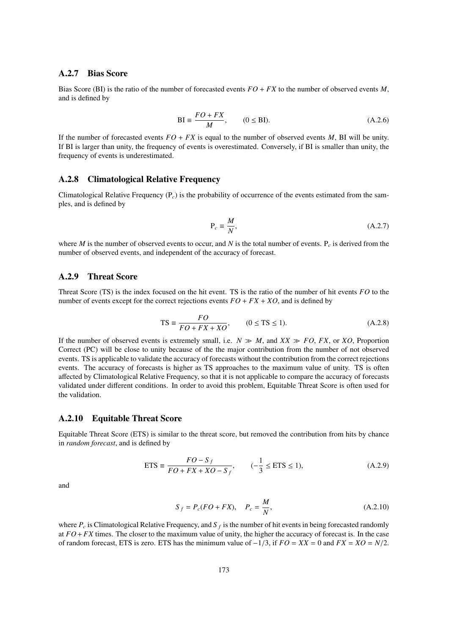# A.2.7 Bias Score

Bias Score (BI) is the ratio of the number of forecasted events *FO* + *FX* to the number of observed events *M*, and is defined by

$$
BI \equiv \frac{FO + FX}{M}, \qquad (0 \leq BI). \tag{A.2.6}
$$

If the number of forecasted events  $FO + FX$  is equal to the number of observed events *M*, BI will be unity. If BI is larger than unity, the frequency of events is overestimated. Conversely, if BI is smaller than unity, the frequency of events is underestimated.

# A.2.8 Climatological Relative Frequency

Climatological Relative Frequency (P*c*) is the probability of occurrence of the events estimated from the samples, and is defined by

$$
P_c \equiv \frac{M}{N},\tag{A.2.7}
$$

where *M* is the number of observed events to occur, and *N* is the total number of events. P*<sup>c</sup>* is derived from the number of observed events, and independent of the accuracy of forecast.

# A.2.9 Threat Score

Threat Score (TS) is the index focused on the hit event. TS is the ratio of the number of hit events *FO* to the number of events except for the correct rejections events  $FO + FX + XO$ , and is defined by

$$
TS \equiv \frac{FO}{FO + FX + XO}, \qquad (0 \le TS \le 1). \tag{A.2.8}
$$

If the number of observed events is extremely small, i.e.  $N \gg M$ , and  $XX \gg FO$ , *FX*, or *XO*, Proportion Correct (PC) will be close to unity because of the the major contribution from the number of not observed events. TS is applicable to validate the accuracy of forecasts without the contribution from the correct rejections events. The accuracy of forecasts is higher as TS approaches to the maximum value of unity. TS is often affected by Climatological Relative Frequency, so that it is not applicable to compare the accuracy of forecasts validated under different conditions. In order to avoid this problem, Equitable Threat Score is often used for the validation.

#### A.2.10 Equitable Threat Score

Equitable Threat Score (ETS) is similar to the threat score, but removed the contribution from hits by chance in *random forecast*, and is defined by

$$
ETS \equiv \frac{FO - S_f}{FO + FX + XO - S_f}, \qquad (-\frac{1}{3} \le ETS \le 1), \tag{A.2.9}
$$

and

$$
S_f = P_c(FO + FX), \quad P_c = \frac{M}{N},\tag{A.2.10}
$$

where  $P_c$  is Climatological Relative Frequency, and  $S_f$  is the number of hit events in being forecasted randomly at *FO*+ *FX* times. The closer to the maximum value of unity, the higher the accuracy of forecast is. In the case of random forecast, ETS is zero. ETS has the minimum value of −1/3, if *FO* = *XX* = 0 and *FX* = *XO* = *N*/2.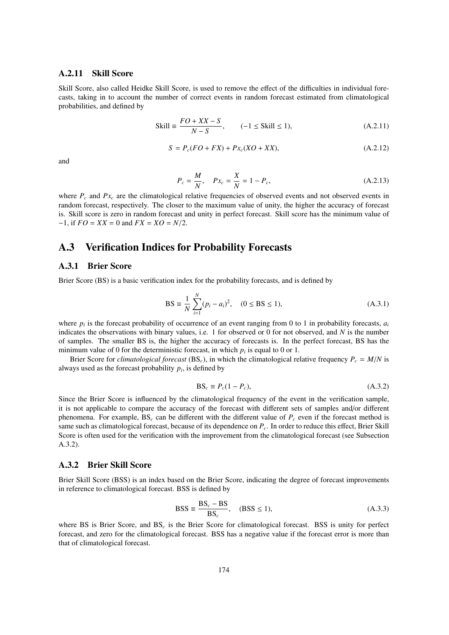#### A.2.11 Skill Score

Skill Score, also called Heidke Skill Score, is used to remove the effect of the difficulties in individual forecasts, taking in to account the number of correct events in random forecast estimated from climatological probabilities, and defined by

$$
Skill \equiv \frac{FO + XX - S}{N - S}, \qquad (-1 \le Skill \le 1), \tag{A.2.11}
$$

$$
S = P_c(FO + FX) + Px_c(XO + XX), \tag{A.2.12}
$$

and

$$
P_c = \frac{M}{N}, \quad P x_c = \frac{X}{N} = 1 - P_c,
$$
 (A.2.13)

where  $P_c$  and  $Px_c$  are the climatological relative frequencies of observed events and not observed events in random forecast, respectively. The closer to the maximum value of unity, the higher the accuracy of forecast is. Skill score is zero in random forecast and unity in perfect forecast. Skill score has the minimum value of −1, if *FO* = *XX* = 0 and *FX* = *XO* = *N*/2.

# A.3 Verification Indices for Probability Forecasts

#### A.3.1 Brier Score

Brier Score (BS) is a basic verification index for the probability forecasts, and is defined by

$$
BS \equiv \frac{1}{N} \sum_{i=1}^{N} (p_i - a_i)^2, \quad (0 \le BS \le 1), \tag{A.3.1}
$$

where  $p_i$  is the forecast probability of occurrence of an event ranging from 0 to 1 in probability forecasts,  $a_i$ indicates the observations with binary values, i.e. 1 for observed or 0 for not observed, and *N* is the number of samples. The smaller BS is, the higher the accuracy of forecasts is. In the perfect forecast, BS has the minimum value of 0 for the deterministic forecast, in which  $p_i$  is equal to 0 or 1.

Brier Score for *climatological forecast* (BS<sub>*c*</sub>), in which the climatological relative frequency  $P_c = M/N$  is always used as the forecast probability  $p_i$ , is defined by

$$
BS_c \equiv P_c(1 - P_c),\tag{A.3.2}
$$

Since the Brier Score is influenced by the climatological frequency of the event in the verification sample, it is not applicable to compare the accuracy of the forecast with different sets of samples and/or different phenomena. For example, BS<sub>*c*</sub> can be different with the different value of  $P_c$  even if the forecast method is same such as climatological forecast, because of its dependence on *Pc*. In order to reduce this effect, Brier Skill Score is often used for the verification with the improvement from the climatological forecast (see Subsection A.3.2).

#### A.3.2 Brier Skill Score

Brier Skill Score (BSS) is an index based on the Brier Score, indicating the degree of forecast improvements in reference to climatological forecast. BSS is defined by

$$
BSS \equiv \frac{BS_c - BS}{BS_c}, \quad (BSS \le 1), \tag{A.3.3}
$$

where BS is Brier Score, and BS<sub>c</sub> is the Brier Score for climatological forecast. BSS is unity for perfect forecast, and zero for the climatological forecast. BSS has a negative value if the forecast error is more than that of climatological forecast.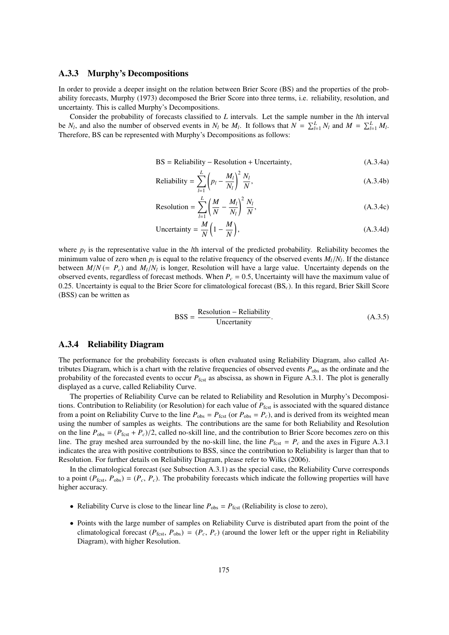#### A.3.3 Murphy's Decompositions

In order to provide a deeper insight on the relation between Brier Score (BS) and the properties of the probability forecasts, Murphy (1973) decomposed the Brier Score into three terms, i.e. reliability, resolution, and uncertainty. This is called Murphy's Decompositions.

Consider the probability of forecasts classified to *L* intervals. Let the sample number in the *l*th interval be *N<sub>l</sub>*, and also the number of observed events in *N<sub>l</sub>* be *M<sub>l</sub>*. It follows that  $N = \sum_{l=1}^{L} N_l$  and  $M = \sum_{l=1}^{L} M_l$ . Therefore, BS can be represented with Murphy's Decompositions as follows:

$$
BS = Reliability - Resolution + Uncertainty,
$$
\n
$$
(A.3.4a)
$$

Reliability = 
$$
\sum_{l=1}^{L} \left( p_l - \frac{M_l}{N_l} \right)^2 \frac{N_l}{N},
$$
 (A.3.4b)

$$
\text{Resolution} = \sum_{l=1}^{L} \left( \frac{M}{N} - \frac{M_l}{N_l} \right)^2 \frac{N_l}{N},\tag{A.3.4c}
$$

Uncertainty = 
$$
\frac{M}{N} \left( 1 - \frac{M}{N} \right)
$$
, (A.3.4d)

where  $p_l$  is the representative value in the *l*th interval of the predicted probability. Reliability becomes the minimum value of zero when  $p_l$  is equal to the relative frequency of the observed events  $M_l/N_l$ . If the distance between  $M/N$  (=  $P_c$ ) and  $M_l/N_l$  is longer, Resolution will have a large value. Uncertainty depends on the observed events, regardless of forecast methods. When  $P_c = 0.5$ , Uncertainty will have the maximum value of 0.25. Uncertainty is equal to the Brier Score for climatological forecast (BS*c*). In this regard, Brier Skill Score (BSS) can be written as

$$
BSS = \frac{\text{Resolution} - \text{Reliability}}{\text{Uncertainty}}.
$$
 (A.3.5)

# A.3.4 Reliability Diagram

The performance for the probability forecasts is often evaluated using Reliability Diagram, also called Attributes Diagram, which is a chart with the relative frequencies of observed events *P*obs as the ordinate and the probability of the forecasted events to occur  $P_{\text{fcst}}$  as abscissa, as shown in Figure A.3.1. The plot is generally displayed as a curve, called Reliability Curve.

The properties of Reliability Curve can be related to Reliability and Resolution in Murphy's Decompositions. Contribution to Reliability (or Resolution) for each value of  $P_{\text{fest}}$  is associated with the squared distance from a point on Reliability Curve to the line  $P_{obs} = P_{fest}$  (or  $P_{obs} = P_c$ ), and is derived from its weighted mean using the number of samples as weights. The contributions are the same for both Reliability and Resolution on the line  $P_{obs} = (P_{fest} + P_c)/2$ , called no-skill line, and the contribution to Brier Score becomes zero on this line. The gray meshed area surrounded by the no-skill line, the line  $P_{\text{fest}} = P_c$  and the axes in Figure A.3.1 indicates the area with positive contributions to BSS, since the contribution to Reliability is larger than that to Resolution. For further details on Reliability Diagram, please refer to Wilks (2006).

In the climatological forecast (see Subsection A.3.1) as the special case, the Reliability Curve corresponds to a point  $(P_{\text{fest}}, P_{\text{obs}}) = (P_c, P_c)$ . The probability forecasts which indicate the following properties will have higher accuracy.

- Reliability Curve is close to the linear line  $P_{obs} = P_{fest}$  (Reliability is close to zero),
- Points with the large number of samples on Reliability Curve is distributed apart from the point of the climatological forecast ( $P_{\text{fest}}$ ,  $P_{\text{obs}}$ ) = ( $P_c$ ,  $P_c$ ) (around the lower left or the upper right in Reliability Diagram), with higher Resolution.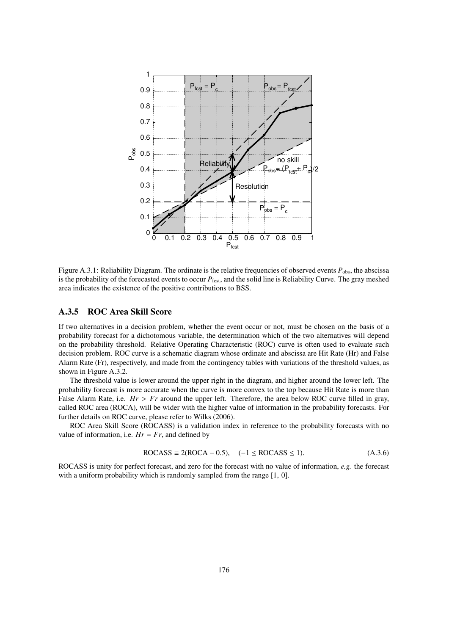

Figure A.3.1: Reliability Diagram. The ordinate is the relative frequencies of observed events  $P_{obs}$ , the abscissa is the probability of the forecasted events to occur  $P_{\text{fest}}$ , and the solid line is Reliability Curve. The gray meshed area indicates the existence of the positive contributions to BSS.

# A.3.5 ROC Area Skill Score

If two alternatives in a decision problem, whether the event occur or not, must be chosen on the basis of a probability forecast for a dichotomous variable, the determination which of the two alternatives will depend on the probability threshold. Relative Operating Characteristic (ROC) curve is often used to evaluate such decision problem. ROC curve is a schematic diagram whose ordinate and abscissa are Hit Rate (Hr) and False Alarm Rate (Fr), respectively, and made from the contingency tables with variations of the threshold values, as shown in Figure A.3.2.

The threshold value is lower around the upper right in the diagram, and higher around the lower left. The probability forecast is more accurate when the curve is more convex to the top because Hit Rate is more than False Alarm Rate, i.e. *Hr* > *Fr* around the upper left. Therefore, the area below ROC curve filled in gray, called ROC area (ROCA), will be wider with the higher value of information in the probability forecasts. For further details on ROC curve, please refer to Wilks (2006).

ROC Area Skill Score (ROCASS) is a validation index in reference to the probability forecasts with no value of information, i.e.  $Hr = Fr$ , and defined by

$$
ROCASS \equiv 2(ROCA - 0.5), \quad (-1 \le ROCASS \le 1). \tag{A.3.6}
$$

ROCASS is unity for perfect forecast, and zero for the forecast with no value of information, *e.g.* the forecast with a uniform probability which is randomly sampled from the range [1, 0].